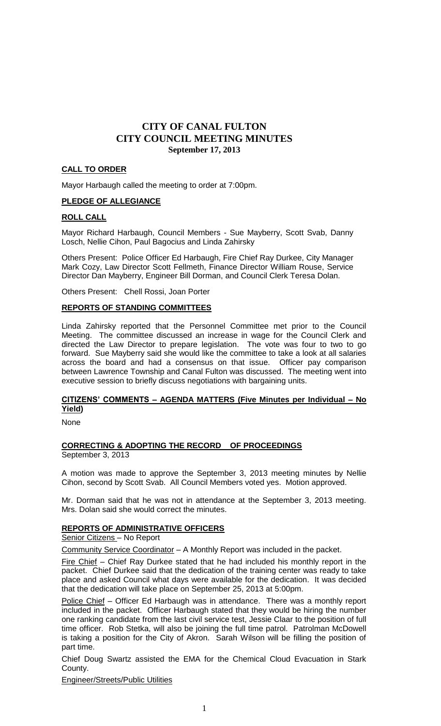#### **CALL TO ORDER**

Mayor Harbaugh called the meeting to order at 7:00pm.

#### **PLEDGE OF ALLEGIANCE**

#### **ROLL CALL**

Mayor Richard Harbaugh, Council Members - Sue Mayberry, Scott Svab, Danny Losch, Nellie Cihon, Paul Bagocius and Linda Zahirsky

Others Present: Police Officer Ed Harbaugh, Fire Chief Ray Durkee, City Manager Mark Cozy, Law Director Scott Fellmeth, Finance Director William Rouse, Service Director Dan Mayberry, Engineer Bill Dorman, and Council Clerk Teresa Dolan.

Others Present: Chell Rossi, Joan Porter

#### **REPORTS OF STANDING COMMITTEES**

Linda Zahirsky reported that the Personnel Committee met prior to the Council Meeting. The committee discussed an increase in wage for the Council Clerk and directed the Law Director to prepare legislation. The vote was four to two to go forward. Sue Mayberry said she would like the committee to take a look at all salaries across the board and had a consensus on that issue. Officer pay comparison between Lawrence Township and Canal Fulton was discussed. The meeting went into executive session to briefly discuss negotiations with bargaining units.

#### **CITIZENS' COMMENTS – AGENDA MATTERS (Five Minutes per Individual – No Yield)**

None

#### **CORRECTING & ADOPTING THE RECORD OF PROCEEDINGS** September 3, 2013

A motion was made to approve the September 3, 2013 meeting minutes by Nellie Cihon, second by Scott Svab. All Council Members voted yes. Motion approved.

Mr. Dorman said that he was not in attendance at the September 3, 2013 meeting. Mrs. Dolan said she would correct the minutes.

#### **REPORTS OF ADMINISTRATIVE OFFICERS**

Senior Citizens – No Report

Community Service Coordinator – A Monthly Report was included in the packet.

Fire Chief - Chief Ray Durkee stated that he had included his monthly report in the packet. Chief Durkee said that the dedication of the training center was ready to take place and asked Council what days were available for the dedication. It was decided that the dedication will take place on September 25, 2013 at 5:00pm.

Police Chief - Officer Ed Harbaugh was in attendance. There was a monthly report included in the packet. Officer Harbaugh stated that they would be hiring the number one ranking candidate from the last civil service test, Jessie Claar to the position of full time officer. Rob Stetka, will also be joining the full time patrol. Patrolman McDowell is taking a position for the City of Akron. Sarah Wilson will be filling the position of part time.

Chief Doug Swartz assisted the EMA for the Chemical Cloud Evacuation in Stark County.

Engineer/Streets/Public Utilities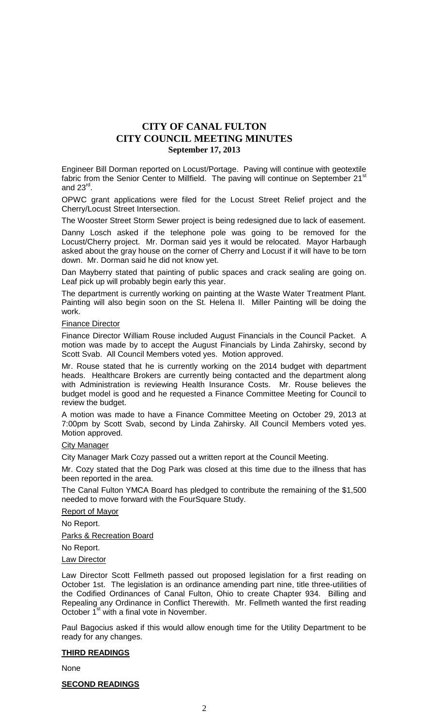Engineer Bill Dorman reported on Locust/Portage. Paving will continue with geotextile fabric from the Senior Center to Millfield. The paving will continue on September 21<sup>st</sup> and 23 $^{\text{rd}}$ .

OPWC grant applications were filed for the Locust Street Relief project and the Cherry/Locust Street Intersection.

The Wooster Street Storm Sewer project is being redesigned due to lack of easement.

Danny Losch asked if the telephone pole was going to be removed for the Locust/Cherry project. Mr. Dorman said yes it would be relocated. Mayor Harbaugh asked about the gray house on the corner of Cherry and Locust if it will have to be torn down. Mr. Dorman said he did not know yet.

Dan Mayberry stated that painting of public spaces and crack sealing are going on. Leaf pick up will probably begin early this year.

The department is currently working on painting at the Waste Water Treatment Plant. Painting will also begin soon on the St. Helena II. Miller Painting will be doing the work.

#### Finance Director

Finance Director William Rouse included August Financials in the Council Packet. A motion was made by to accept the August Financials by Linda Zahirsky, second by Scott Svab. All Council Members voted yes. Motion approved.

Mr. Rouse stated that he is currently working on the 2014 budget with department heads. Healthcare Brokers are currently being contacted and the department along with Administration is reviewing Health Insurance Costs. Mr. Rouse believes the budget model is good and he requested a Finance Committee Meeting for Council to review the budget.

A motion was made to have a Finance Committee Meeting on October 29, 2013 at 7:00pm by Scott Svab, second by Linda Zahirsky. All Council Members voted yes. Motion approved.

#### **City Manager**

City Manager Mark Cozy passed out a written report at the Council Meeting.

Mr. Cozy stated that the Dog Park was closed at this time due to the illness that has been reported in the area.

The Canal Fulton YMCA Board has pledged to contribute the remaining of the \$1,500 needed to move forward with the FourSquare Study.

#### Report of Mayor

No Report.

**Parks & Recreation Board** 

No Report.

#### Law Director

Law Director Scott Fellmeth passed out proposed legislation for a first reading on October 1st. The legislation is an ordinance amending part nine, title three-utilities of the Codified Ordinances of Canal Fulton, Ohio to create Chapter 934. Billing and Repealing any Ordinance in Conflict Therewith. Mr. Fellmeth wanted the first reading October 1<sup>st</sup> with a final vote in November.

Paul Bagocius asked if this would allow enough time for the Utility Department to be ready for any changes.

#### **THIRD READINGS**

None

#### **SECOND READINGS**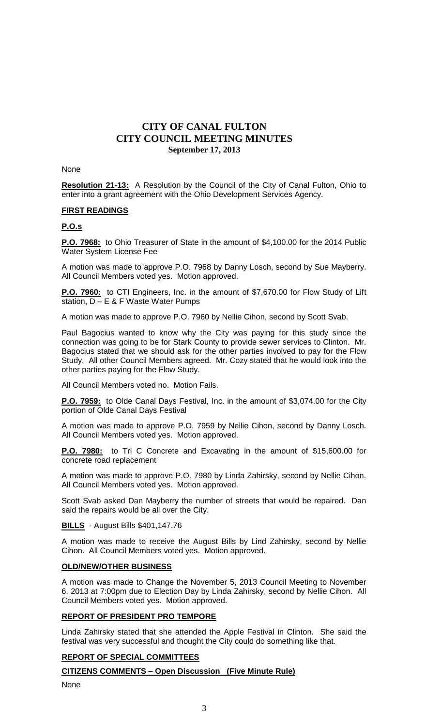#### None

**Resolution 21-13:** A Resolution by the Council of the City of Canal Fulton, Ohio to enter into a grant agreement with the Ohio Development Services Agency.

#### **FIRST READINGS**

#### **P.O.s**

**P.O. 7968:** to Ohio Treasurer of State in the amount of \$4,100.00 for the 2014 Public Water System License Fee

A motion was made to approve P.O. 7968 by Danny Losch, second by Sue Mayberry. All Council Members voted yes. Motion approved.

**P.O. 7960:** to CTI Engineers, Inc. in the amount of \$7,670.00 for Flow Study of Lift station, D – E & F Waste Water Pumps

A motion was made to approve P.O. 7960 by Nellie Cihon, second by Scott Svab.

Paul Bagocius wanted to know why the City was paying for this study since the connection was going to be for Stark County to provide sewer services to Clinton. Mr. Bagocius stated that we should ask for the other parties involved to pay for the Flow Study. All other Council Members agreed. Mr. Cozy stated that he would look into the other parties paying for the Flow Study.

All Council Members voted no. Motion Fails.

**P.O. 7959:** to Olde Canal Days Festival, Inc. in the amount of \$3,074.00 for the City portion of Olde Canal Days Festival

A motion was made to approve P.O. 7959 by Nellie Cihon, second by Danny Losch. All Council Members voted yes. Motion approved.

**P.O. 7980:** to Tri C Concrete and Excavating in the amount of \$15,600.00 for concrete road replacement

A motion was made to approve P.O. 7980 by Linda Zahirsky, second by Nellie Cihon. All Council Members voted yes. Motion approved.

Scott Svab asked Dan Mayberry the number of streets that would be repaired. Dan said the repairs would be all over the City.

**BILLS** - August Bills \$401,147.76

A motion was made to receive the August Bills by Lind Zahirsky, second by Nellie Cihon. All Council Members voted yes. Motion approved.

### **OLD/NEW/OTHER BUSINESS**

A motion was made to Change the November 5, 2013 Council Meeting to November 6, 2013 at 7:00pm due to Election Day by Linda Zahirsky, second by Nellie Cihon. All Council Members voted yes. Motion approved.

#### **REPORT OF PRESIDENT PRO TEMPORE**

Linda Zahirsky stated that she attended the Apple Festival in Clinton. She said the festival was very successful and thought the City could do something like that.

#### **REPORT OF SPECIAL COMMITTEES**

#### **CITIZENS COMMENTS – Open Discussion (Five Minute Rule)**

None